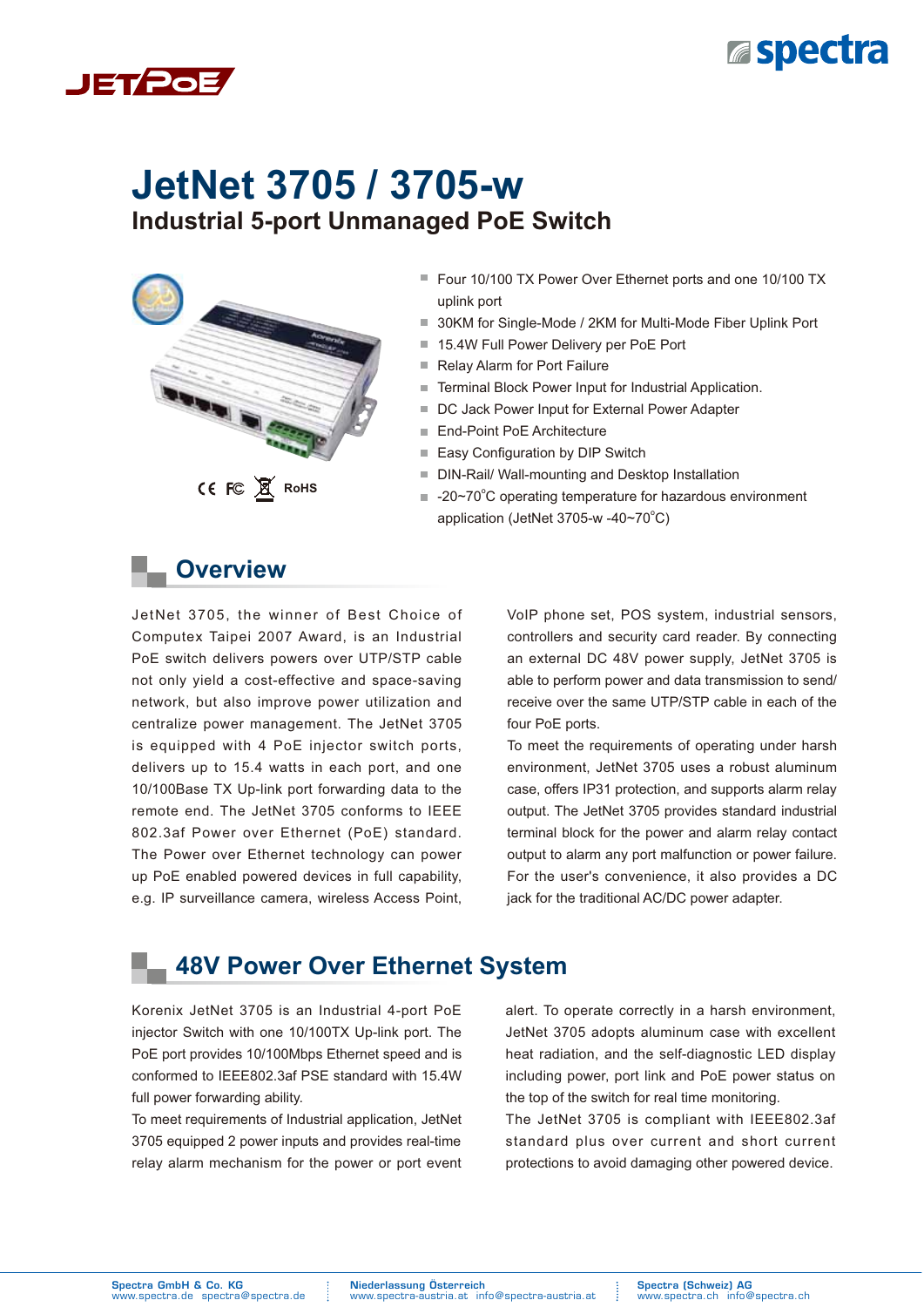



# **Industrial 5-port Unmanaged PoE Switch JetNet 3705 / 3705-w**



- Four 10/100 TX Power Over Ethernet ports and one 10/100 TX uplink port
- 30KM for Single-Mode / 2KM for Multi-Mode Fiber Uplink Port
- 15.4W Full Power Delivery per PoE Port
- Relay Alarm for Port Failure
- Terminal Block Power Input for Industrial Application.
- DC Jack Power Input for External Power Adapter
- End-Point PoE Architecture
- Easy Configuration by DIP Switch
- DIN-Rail/ Wall-mounting and Desktop Installation
- -20~70°C operating temperature for hazardous environment application (JetNet 3705-w -40~70°C)

### **Overview**

JetNet 3705, the winner of Best Choice of Computex Taipei 2007 Award, is an Industrial PoE switch delivers powers over UTP/STP cable not only yield a cost-effective and space-saving network, but also improve power utilization and centralize power management. The JetNet 3705 is equipped with 4 PoE injector switch ports, delivers up to 15.4 watts in each port, and one 10/100Base TX Up-link port forwarding data to the remote end. The JetNet 3705 conforms to IEEE 802.3af Power over Ethernet (PoE) standard. The Power over Ethernet technology can power up PoE enabled powered devices in full capability, e.g. IP surveillance camera, wireless Access Point, VoIP phone set, POS system, industrial sensors, controllers and security card reader. By connecting an external DC 48V power supply, JetNet 3705 is able to perform power and data transmission to send/ receive over the same UTP/STP cable in each of the four PoE ports.

To meet the requirements of operating under harsh environment, JetNet 3705 uses a robust aluminum case, offers IP31 protection, and supports alarm relay output. The JetNet 3705 provides standard industrial terminal block for the power and alarm relay contact output to alarm any port malfunction or power failure. For the user's convenience, it also provides a DC jack for the traditional AC/DC power adapter.

### **48V Power Over Ethernet System**

Korenix JetNet 3705 is an Industrial 4-port PoE injector Switch with one 10/100TX Up-link port. The PoE port provides 10/100Mbps Ethernet speed and is conformed to IEEE802.3af PSE standard with 15.4W full power forwarding ability.

To meet requirements of Industrial application, JetNet 3705 equipped 2 power inputs and provides real-time relay alarm mechanism for the power or port event

alert. To operate correctly in a harsh environment, JetNet 3705 adopts aluminum case with excellent heat radiation, and the self-diagnostic LED display including power, port link and PoE power status on the top of the switch for real time monitoring.

The JetNet 3705 is compliant with IEEE802.3af standard plus over current and short current protections to avoid damaging other powered device.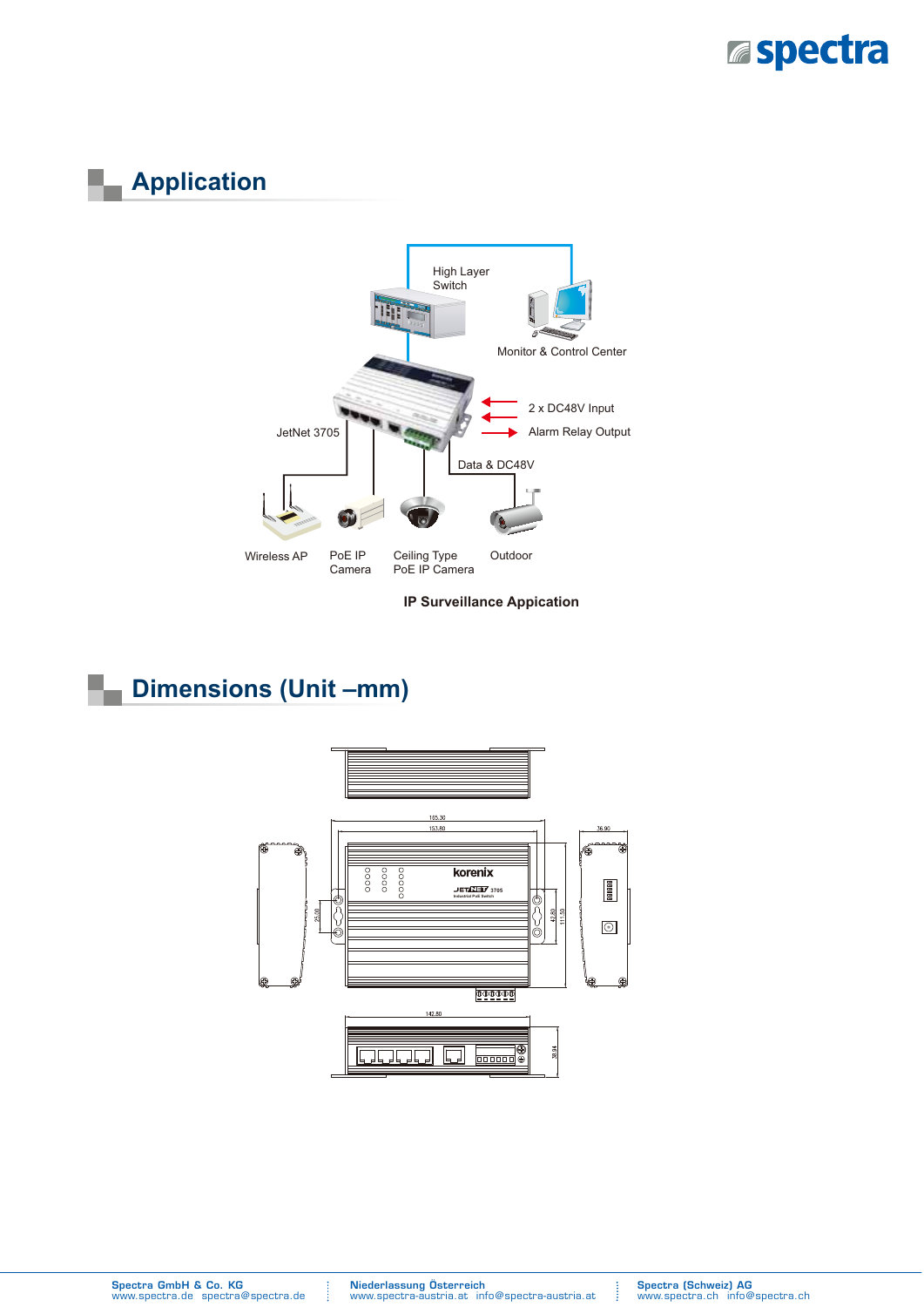

# **Application**



**IP Surveillance Appication** 

### **Dimensions (Unit –mm)**



Spectra GmbH & Co. KG www.spectra.de spectra@spectra.de